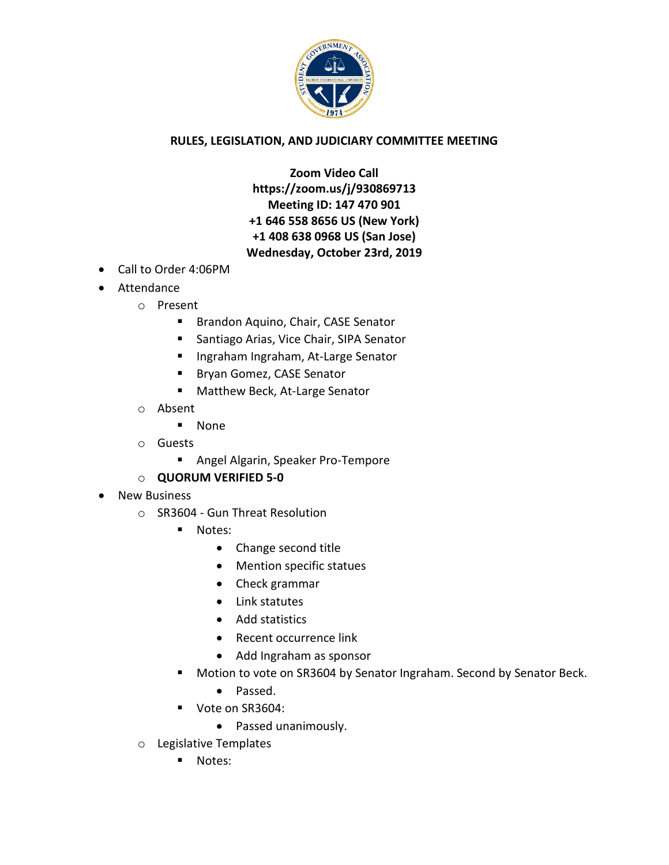

## **RULES, LEGISLATION, AND JUDICIARY COMMITTEE MEETING**

**Zoom Video Call https://zoom.us/j/930869713 Meeting ID: 147 470 901 +1 646 558 8656 US (New York) +1 408 638 0968 US (San Jose) Wednesday, October 23rd, 2019**

- Call to Order 4:06PM
- Attendance
	- o Present
		- **Brandon Aquino, Chair, CASE Senator**
		- Santiago Arias, Vice Chair, SIPA Senator
		- **Ingraham Ingraham, At-Large Senator**
		- **Bryan Gomez, CASE Senator**
		- **Matthew Beck, At-Large Senator**
	- o Absent
		- None
	- o Guests
		- **Angel Algarin, Speaker Pro-Tempore**
	- o **QUORUM VERIFIED 5-0**
- New Business
	- o SR3604 Gun Threat Resolution
		- **Notes:** 
			- Change second title
			- Mention specific statues
			- Check grammar
			- Link statutes
			- Add statistics
			- Recent occurrence link
			- Add Ingraham as sponsor
		- **Motion to vote on SR3604 by Senator Ingraham. Second by Senator Beck.** 
			- Passed.
		- Vote on SR3604:
			- Passed unanimously.
	- o Legislative Templates
		- **Notes:**